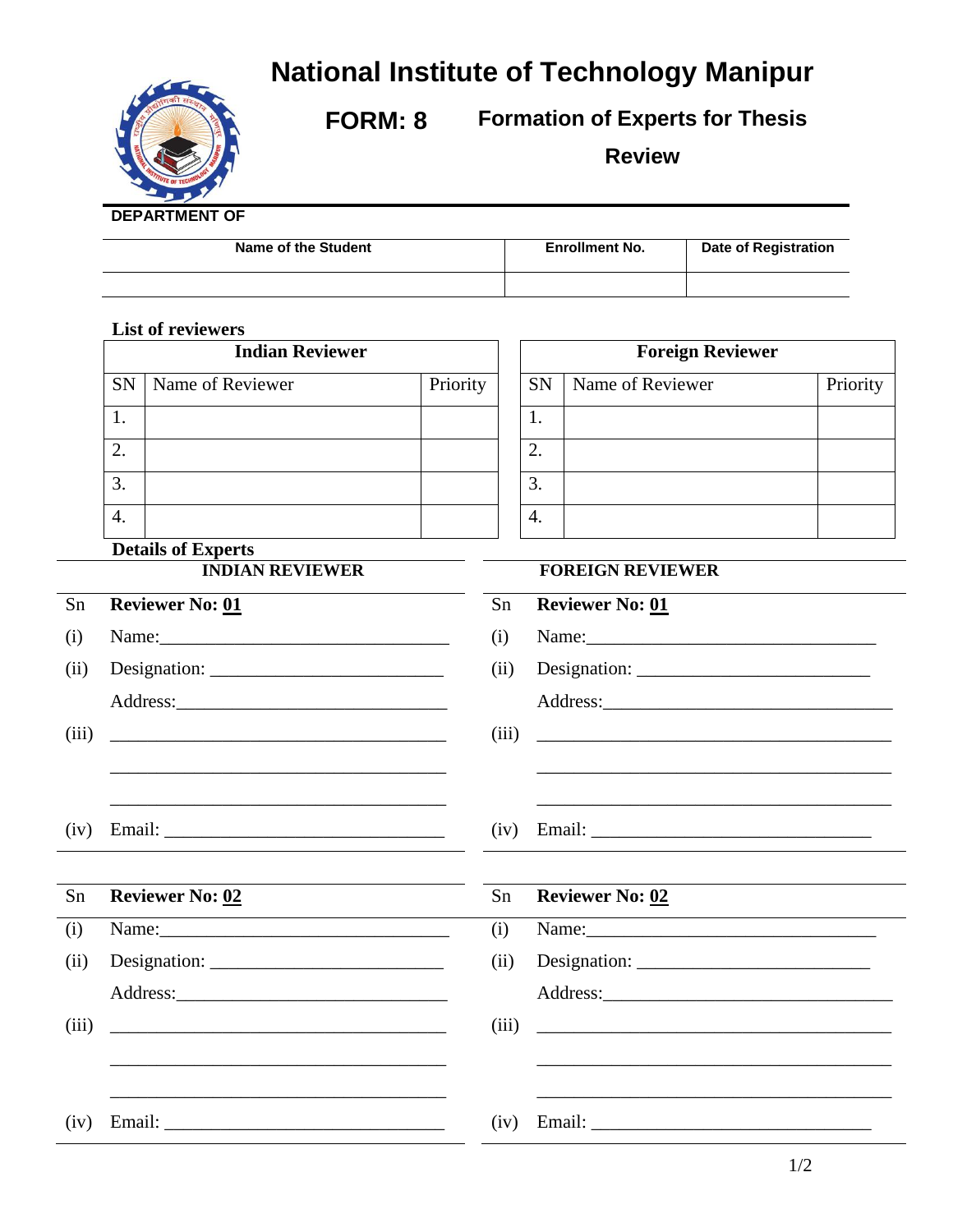## **National Institute of Technology Manipur**



**FORM: 8 Formation of Experts for Thesis** 

**Review**

## **DEPARTMENT OF**

| Name of the Student | <b>Enrollment No.</b> | <b>Date of Registration</b> |
|---------------------|-----------------------|-----------------------------|
|                     |                       |                             |

|       | <b>List of reviewers</b><br><b>Indian Reviewer</b> |                                                                                                                                                                                                                                      |          |       | <b>Foreign Reviewer</b>                                                                                        |                                                                                                                      |          |  |
|-------|----------------------------------------------------|--------------------------------------------------------------------------------------------------------------------------------------------------------------------------------------------------------------------------------------|----------|-------|----------------------------------------------------------------------------------------------------------------|----------------------------------------------------------------------------------------------------------------------|----------|--|
|       |                                                    |                                                                                                                                                                                                                                      |          |       |                                                                                                                |                                                                                                                      |          |  |
|       | <b>SN</b>                                          | Name of Reviewer                                                                                                                                                                                                                     | Priority |       | <b>SN</b>                                                                                                      | Name of Reviewer                                                                                                     | Priority |  |
|       | 1.                                                 |                                                                                                                                                                                                                                      |          |       | 1.                                                                                                             |                                                                                                                      |          |  |
|       | $\overline{2}$ .                                   |                                                                                                                                                                                                                                      |          |       | 2.                                                                                                             |                                                                                                                      |          |  |
|       | 3.                                                 |                                                                                                                                                                                                                                      |          |       | 3.                                                                                                             |                                                                                                                      |          |  |
|       | 4.                                                 |                                                                                                                                                                                                                                      |          |       | 4.                                                                                                             |                                                                                                                      |          |  |
|       |                                                    | <b>Details of Experts</b>                                                                                                                                                                                                            |          |       |                                                                                                                |                                                                                                                      |          |  |
|       |                                                    | <b>INDIAN REVIEWER</b>                                                                                                                                                                                                               |          |       |                                                                                                                | <b>FOREIGN REVIEWER</b>                                                                                              |          |  |
| Sn    |                                                    | <b>Reviewer No: 01</b>                                                                                                                                                                                                               |          | Sn    |                                                                                                                | <b>Reviewer No: 01</b>                                                                                               |          |  |
| (i)   |                                                    |                                                                                                                                                                                                                                      |          | (i)   | Name: 2008. 2008. 2010. 2010. 2010. 2010. 2010. 2010. 2010. 2010. 2010. 2010. 2010. 2010. 2010. 2010. 2010. 20 |                                                                                                                      |          |  |
| (ii)  |                                                    |                                                                                                                                                                                                                                      |          | (ii)  |                                                                                                                |                                                                                                                      |          |  |
|       |                                                    |                                                                                                                                                                                                                                      |          |       |                                                                                                                |                                                                                                                      |          |  |
| (iii) |                                                    |                                                                                                                                                                                                                                      |          | (iii) |                                                                                                                | <u> 2000 - Jan James James James James James James James James James James James James James James James James J</u> |          |  |
|       |                                                    |                                                                                                                                                                                                                                      |          |       |                                                                                                                |                                                                                                                      |          |  |
|       |                                                    |                                                                                                                                                                                                                                      |          |       |                                                                                                                |                                                                                                                      |          |  |
| (iv)  |                                                    |                                                                                                                                                                                                                                      |          | (iv)  |                                                                                                                |                                                                                                                      |          |  |
|       |                                                    |                                                                                                                                                                                                                                      |          |       |                                                                                                                |                                                                                                                      |          |  |
| Sn    | <b>Reviewer No: 02</b>                             |                                                                                                                                                                                                                                      |          | Sn    |                                                                                                                | <b>Reviewer No: 02</b>                                                                                               |          |  |
| (i)   |                                                    |                                                                                                                                                                                                                                      |          | (i)   |                                                                                                                | Name: 2008. 2008. 2010. 2010. 2010. 2010. 2010. 2010. 2010. 2010. 2010. 2010. 2010. 2010. 2010. 2010. 2010. 20       |          |  |
| (ii)  |                                                    |                                                                                                                                                                                                                                      | (ii)     |       |                                                                                                                |                                                                                                                      |          |  |
|       |                                                    |                                                                                                                                                                                                                                      |          |       |                                                                                                                |                                                                                                                      |          |  |
| (iii) |                                                    |                                                                                                                                                                                                                                      |          | (iii) |                                                                                                                | <u> 1980 - Johann Barn, amerikansk politiker (d. 1980)</u>                                                           |          |  |
|       |                                                    |                                                                                                                                                                                                                                      |          |       |                                                                                                                |                                                                                                                      |          |  |
|       |                                                    |                                                                                                                                                                                                                                      |          |       |                                                                                                                |                                                                                                                      |          |  |
| (iv)  |                                                    | Email: <u>Constantino and Constantino and Constantino and Constantino and Constantino and Constantino and Constantino and Constantino and Constantino and Constantino and Constantino and Constantino and Constantino and Consta</u> |          | (iv)  |                                                                                                                |                                                                                                                      |          |  |